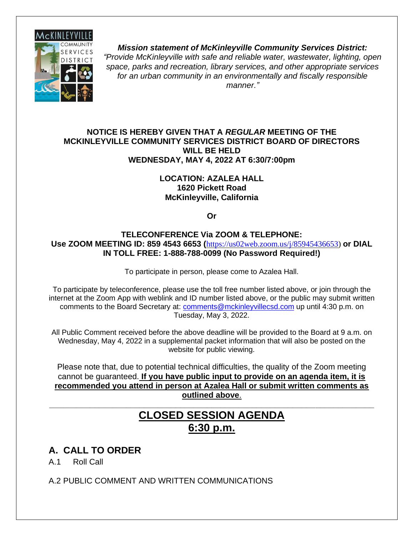

*Mission statement of McKinleyville Community Services District: "Provide McKinleyville with safe and reliable water, wastewater, lighting, open space, parks and recreation, library services, and other appropriate services for an urban community in an environmentally and fiscally responsible manner."*

#### **NOTICE IS HEREBY GIVEN THAT A** *REGULAR* **MEETING OF THE MCKINLEYVILLE COMMUNITY SERVICES DISTRICT BOARD OF DIRECTORS WILL BE HELD WEDNESDAY, MAY 4, 2022 AT 6:30/7:00pm**

#### **LOCATION: AZALEA HALL 1620 Pickett Road McKinleyville, California**

**Or**

#### **TELECONFERENCE Via ZOOM & TELEPHONE: Use ZOOM MEETING ID: 859 4543 6653 (**[https://us02web.zoom.us/j/85945436653\)](https://us02web.zoom.us/j/85945436653) **or DIAL IN TOLL FREE: 1-888-788-0099 (No Password Required!)**

To participate in person, please come to Azalea Hall.

To participate by teleconference, please use the toll free number listed above, or join through the internet at the Zoom App with weblink and ID number listed above, or the public may submit written comments to the Board Secretary at: [comments@mckinleyvillecsd.com](mailto:contacts@mckinleyvillecsd.com) up until 4:30 p.m. on Tuesday, May 3, 2022.

All Public Comment received before the above deadline will be provided to the Board at 9 a.m. on Wednesday, May 4, 2022 in a supplemental packet information that will also be posted on the website for public viewing.

Please note that, due to potential technical difficulties, the quality of the Zoom meeting cannot be guaranteed. **If you have public input to provide on an agenda item, it is recommended you attend in person at Azalea Hall or submit written comments as outlined above**.

## **CLOSED SESSION AGENDA 6:30 p.m.**

**\_\_\_\_\_\_\_\_\_\_\_\_\_\_\_\_\_\_\_\_\_\_\_\_\_\_\_\_\_\_\_\_\_\_\_\_\_\_\_\_\_\_\_\_\_\_\_\_\_\_\_\_\_\_\_\_\_\_\_\_\_\_\_\_\_\_\_\_\_\_\_\_**

### **A. CALL TO ORDER**

A.1 Roll Call

A.2 PUBLIC COMMENT AND WRITTEN COMMUNICATIONS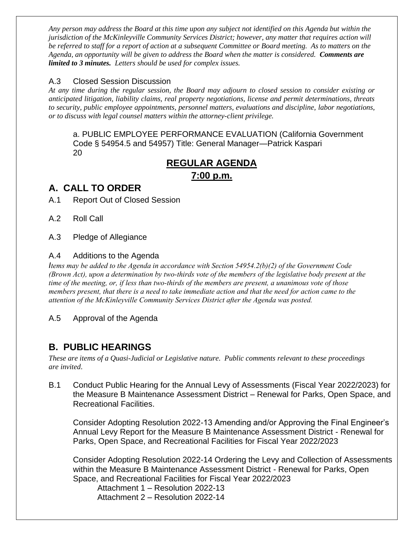*Any person may address the Board at this time upon any subject not identified on this Agenda but within the jurisdiction of the McKinleyville Community Services District; however, any matter that requires action will be referred to staff for a report of action at a subsequent Committee or Board meeting. As to matters on the Agenda, an opportunity will be given to address the Board when the matter is considered. Comments are limited to 3 minutes. Letters should be used for complex issues.*

#### A.3 Closed Session Discussion

*At any time during the regular session, the Board may adjourn to closed session to consider existing or anticipated litigation, liability claims, real property negotiations, license and permit determinations, threats to security, public employee appointments, personnel matters, evaluations and discipline, labor negotiations, or to discuss with legal counsel matters within the attorney-client privilege.*

a. PUBLIC EMPLOYEE PERFORMANCE EVALUATION (California Government Code § 54954.5 and 54957) Title: General Manager—Patrick Kaspari 20

### **REGULAR AGENDA**

**7:00 p.m.**

#### **A. CALL TO ORDER**

A.1 Report Out of Closed Session

A.2 Roll Call

A.3 Pledge of Allegiance

#### A.4 Additions to the Agenda

*Items may be added to the Agenda in accordance with Section 54954.2(b)(2) of the Government Code (Brown Act), upon a determination by two-thirds vote of the members of the legislative body present at the time of the meeting, or, if less than two-thirds of the members are present, a unanimous vote of those members present, that there is a need to take immediate action and that the need for action came to the attention of the McKinleyville Community Services District after the Agenda was posted.* 

A.5 Approval of the Agenda

### **B. PUBLIC HEARINGS**

*These are items of a Quasi-Judicial or Legislative nature. Public comments relevant to these proceedings are invited*.

B.1 Conduct Public Hearing for the Annual Levy of Assessments (Fiscal Year 2022/2023) for the Measure B Maintenance Assessment District – Renewal for Parks, Open Space, and Recreational Facilities.

Consider Adopting Resolution 2022-13 Amending and/or Approving the Final Engineer's Annual Levy Report for the Measure B Maintenance Assessment District - Renewal for Parks, Open Space, and Recreational Facilities for Fiscal Year 2022/2023

Consider Adopting Resolution 2022-14 Ordering the Levy and Collection of Assessments within the Measure B Maintenance Assessment District - Renewal for Parks, Open Space, and Recreational Facilities for Fiscal Year 2022/2023

Attachment 1 – Resolution 2022-13 Attachment 2 – Resolution 2022-14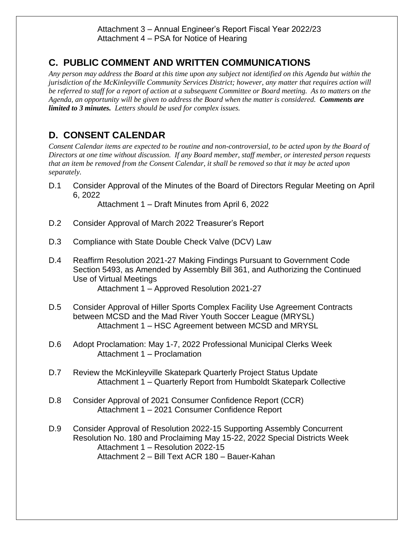### **C. PUBLIC COMMENT AND WRITTEN COMMUNICATIONS**

*Any person may address the Board at this time upon any subject not identified on this Agenda but within the jurisdiction of the McKinleyville Community Services District; however, any matter that requires action will be referred to staff for a report of action at a subsequent Committee or Board meeting. As to matters on the Agenda, an opportunity will be given to address the Board when the matter is considered. Comments are limited to 3 minutes. Letters should be used for complex issues.*

### **D. CONSENT CALENDAR**

*Consent Calendar items are expected to be routine and non-controversial, to be acted upon by the Board of Directors at one time without discussion. If any Board member, staff member, or interested person requests that an item be removed from the Consent Calendar, it shall be removed so that it may be acted upon separately.*

D.1 Consider Approval of the Minutes of the Board of Directors Regular Meeting on April 6, 2022

Attachment 1 – Draft Minutes from April 6, 2022

- D.2 Consider Approval of March 2022 Treasurer's Report
- D.3 Compliance with State Double Check Valve (DCV) Law
- D.4 Reaffirm Resolution 2021-27 Making Findings Pursuant to Government Code Section 5493, as Amended by Assembly Bill 361, and Authorizing the Continued Use of Virtual Meetings Attachment 1 – Approved Resolution 2021-27
- D.5 Consider Approval of Hiller Sports Complex Facility Use Agreement Contracts between MCSD and the Mad River Youth Soccer League (MRYSL) Attachment 1 – HSC Agreement between MCSD and MRYSL
- D.6 Adopt Proclamation: May 1-7, 2022 Professional Municipal Clerks Week Attachment 1 – Proclamation
- D.7 Review the McKinleyville Skatepark Quarterly Project Status Update Attachment 1 – Quarterly Report from Humboldt Skatepark Collective
- D.8 Consider Approval of 2021 Consumer Confidence Report (CCR) Attachment 1 – 2021 Consumer Confidence Report
- D.9 Consider Approval of Resolution 2022-15 Supporting Assembly Concurrent Resolution No. 180 and Proclaiming May 15-22, 2022 Special Districts Week Attachment 1 – Resolution 2022-15 Attachment 2 – Bill Text ACR 180 – Bauer-Kahan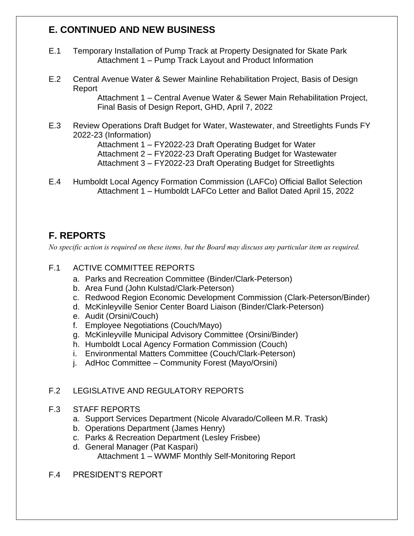### **E. CONTINUED AND NEW BUSINESS**

- E.1 Temporary Installation of Pump Track at Property Designated for Skate Park Attachment 1 – Pump Track Layout and Product Information
- E.2 Central Avenue Water & Sewer Mainline Rehabilitation Project, Basis of Design Report

Attachment 1 – Central Avenue Water & Sewer Main Rehabilitation Project, Final Basis of Design Report, GHD, April 7, 2022

E.3 Review Operations Draft Budget for Water, Wastewater, and Streetlights Funds FY 2022-23 (Information)

Attachment 1 – FY2022-23 Draft Operating Budget for Water Attachment 2 – FY2022-23 Draft Operating Budget for Wastewater Attachment 3 – FY2022-23 Draft Operating Budget for Streetlights

E.4 Humboldt Local Agency Formation Commission (LAFCo) Official Ballot Selection Attachment 1 – Humboldt LAFCo Letter and Ballot Dated April 15, 2022

### **F. REPORTS**

*No specific action is required on these items, but the Board may discuss any particular item as required.*

- F.1 ACTIVE COMMITTEE REPORTS
	- a. Parks and Recreation Committee (Binder/Clark-Peterson)
	- b. Area Fund (John Kulstad/Clark-Peterson)
	- c. Redwood Region Economic Development Commission (Clark-Peterson/Binder)
	- d. McKinleyville Senior Center Board Liaison (Binder/Clark-Peterson)
	- e. Audit (Orsini/Couch)
	- f. Employee Negotiations (Couch/Mayo)
	- g. McKinleyville Municipal Advisory Committee (Orsini/Binder)
	- h. Humboldt Local Agency Formation Commission (Couch)
	- i. Environmental Matters Committee (Couch/Clark-Peterson)
	- j. AdHoc Committee Community Forest (Mayo/Orsini)

#### F.2 LEGISLATIVE AND REGULATORY REPORTS

#### F.3 STAFF REPORTS

- a. Support Services Department (Nicole Alvarado/Colleen M.R. Trask)
- b. Operations Department (James Henry)
- c. Parks & Recreation Department (Lesley Frisbee)
- d. General Manager (Pat Kaspari) Attachment 1 – WWMF Monthly Self-Monitoring Report
- F.4 PRESIDENT'S REPORT